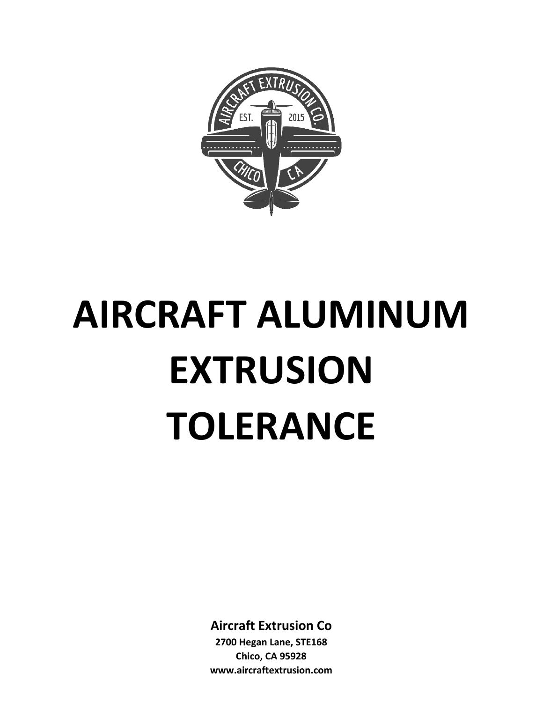

# **AIRCRAFT ALUMINUM EXTRUSION TOLERANCE**

**Aircraft Extrusion Co**

**2700 Hegan Lane, STE168 Chico, CA 95928 www.aircraftextrusion.com**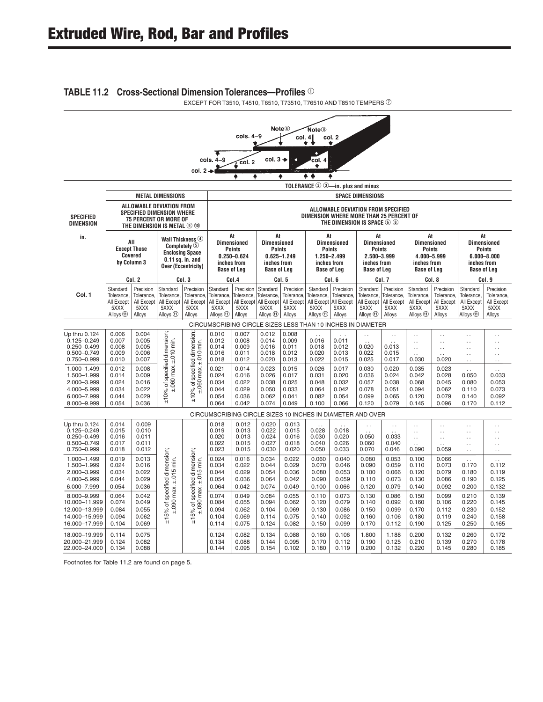#### **TABLE 11.2 Cross-Sectional Dimension Tolerances—Profiles ①**

EXCEPT FOR T3510, T4510, T6510, T73510, T76510 AND T8510 TEMPERS  $@$ 

| Note <sup>6</sup><br>Note <sup>®</sup><br>$cols. 4-9$<br>col. 2<br>col. 4<br>۰<br>٠<br>٠<br>$col.3 +$<br>$cols. 4-9$<br>col. 4<br>$\sqrt{\frac{1}{1}}$ col. 2<br>٠<br>col. 2<br>٠<br>٠<br>. .<br>٠ |                                                                       |                                                         |                                                                                                                                               |                                                                                                                                   |                                                                       |                                                                                                                                                                                                                                                                                                                                                                                                                                                                                      |                                                                       |                                                         |                                                                                  |                                                    |                                                                                                                                       |                                                              |                                                                        |                                                                               |                                                                       |                                                                                   |
|----------------------------------------------------------------------------------------------------------------------------------------------------------------------------------------------------|-----------------------------------------------------------------------|---------------------------------------------------------|-----------------------------------------------------------------------------------------------------------------------------------------------|-----------------------------------------------------------------------------------------------------------------------------------|-----------------------------------------------------------------------|--------------------------------------------------------------------------------------------------------------------------------------------------------------------------------------------------------------------------------------------------------------------------------------------------------------------------------------------------------------------------------------------------------------------------------------------------------------------------------------|-----------------------------------------------------------------------|---------------------------------------------------------|----------------------------------------------------------------------------------|----------------------------------------------------|---------------------------------------------------------------------------------------------------------------------------------------|--------------------------------------------------------------|------------------------------------------------------------------------|-------------------------------------------------------------------------------|-----------------------------------------------------------------------|-----------------------------------------------------------------------------------|
|                                                                                                                                                                                                    |                                                                       |                                                         |                                                                                                                                               |                                                                                                                                   |                                                                       |                                                                                                                                                                                                                                                                                                                                                                                                                                                                                      |                                                                       |                                                         |                                                                                  | TOLERANCE $\oslash$ $\oslash$ -in. plus and minus  |                                                                                                                                       |                                                              |                                                                        |                                                                               |                                                                       |                                                                                   |
|                                                                                                                                                                                                    |                                                                       |                                                         | <b>METAL DIMENSIONS</b>                                                                                                                       |                                                                                                                                   |                                                                       |                                                                                                                                                                                                                                                                                                                                                                                                                                                                                      |                                                                       |                                                         |                                                                                  |                                                    | <b>SPACE DIMENSIONS</b>                                                                                                               |                                                              |                                                                        |                                                                               |                                                                       |                                                                                   |
| <b>SPECIFIED</b><br><b>DIMENSION</b>                                                                                                                                                               |                                                                       |                                                         | ALLOWABLE DEVIATION FROM<br><b>SPECIFIED DIMENSION WHERE</b><br>75 PERCENT OR MORE OF<br>THE DIMENSION IS METAL <sup>(2)</sup> <sup>(1)</sup> |                                                                                                                                   |                                                                       |                                                                                                                                                                                                                                                                                                                                                                                                                                                                                      |                                                                       |                                                         |                                                                                  |                                                    | ALLOWABLE DEVIATION FROM SPECIFIED<br>DIMENSION WHERE MORE THAN 25 PERCENT OF<br>THE DIMENSION IS SPACE $\circledcirc$ $\circledcirc$ |                                                              |                                                                        |                                                                               |                                                                       |                                                                                   |
| in.                                                                                                                                                                                                |                                                                       | All<br><b>Except Those</b><br>Covered<br>by Column 3    |                                                                                                                                               | Wall Thickness $\circledcirc$<br>Completely $\circledcirc$<br><b>Enclosing Space</b><br>$0.11$ sq. in. and<br>Over (Eccentricity) |                                                                       | At<br>At<br>At<br>At<br>At<br><b>Dimensioned</b><br><b>Dimensioned</b><br><b>Dimensioned</b><br><b>Dimensioned</b><br><b>Dimensioned</b><br><b>Points</b><br>Points<br>Points<br><b>Points</b><br>Points<br>4.000-5.999<br>$0.250 - 0.624$<br>$0.625 - 1.249$<br>1.250-2.499<br>2.500-3.999<br>inches from<br>inches from<br>inches from<br>inches from<br>inches from<br><b>Base of Leg</b><br><b>Base of Leg</b><br><b>Base of Leg</b><br><b>Base of Leg</b><br><b>Base of Leg</b> |                                                                       |                                                         |                                                                                  |                                                    | At<br>inches from<br><b>Base of Leg</b>                                                                                               | <b>Dimensioned</b><br>Points<br>$6.000 - 8.000$              |                                                                        |                                                                               |                                                                       |                                                                                   |
|                                                                                                                                                                                                    |                                                                       | Col. 2                                                  |                                                                                                                                               | Col. 3                                                                                                                            |                                                                       | Col.4                                                                                                                                                                                                                                                                                                                                                                                                                                                                                |                                                                       | Col. 5                                                  |                                                                                  | Col. 6                                             |                                                                                                                                       | Col. 7                                                       |                                                                        | Col. 8                                                                        |                                                                       | Col. 9                                                                            |
| Col. 1                                                                                                                                                                                             | Standard<br>Tolerance,<br>All Except<br>5XXX<br>Alloys <sup>(1)</sup> | Precision<br>Tolerance,<br>All Except<br>5XXX<br>Alloys | Standard<br>Tolerance,<br>All Except<br>5XXX<br>Alloys <sup>(11)</sup>                                                                        | Precision<br>Tolerance,<br>All Except<br>5XXX<br>Alloys                                                                           | Standard<br>Tolerance,<br>All Except<br>5XXX<br>Alloys <sup>(1)</sup> | Precision<br>Tolerance,<br><b>All Except</b><br>5XXX<br>Alloys                                                                                                                                                                                                                                                                                                                                                                                                                       | Standard<br>Tolerance,<br>All Except<br>5XXX<br>Alloys <sup>(1)</sup> | Precision<br>Tolerance,<br>All Except<br>5XXX<br>Alloys | Standard<br>Tolerance,<br>All Except All Except<br>5XXX<br>Alloys <sup>(1)</sup> | Precision<br>Tolerance,<br>5XXX<br>Alloys          | Standard<br>Tolerance,<br>All Except<br>5XXX<br>Alloys <sup>(11)</sup>                                                                | Precision<br>Tolerance,<br>All Except<br>5XXX<br>Alloys      | Standard<br>Tolerance,<br>All Except<br>5XXX<br>Alloys <sup>(11)</sup> | Precision<br>Tolerance,<br>All Except<br>5XXX<br>Alloys                       | Standard<br>Tolerance,<br>All Except<br>5XXX<br>Alloys <sup>(1)</sup> | Precision<br>Tolerance,<br>All Except<br>5XXX<br>Alloys                           |
|                                                                                                                                                                                                    |                                                                       |                                                         |                                                                                                                                               |                                                                                                                                   |                                                                       |                                                                                                                                                                                                                                                                                                                                                                                                                                                                                      |                                                                       |                                                         |                                                                                  |                                                    | CIRCUMSCRIBING CIRCLE SIZES LESS THAN 10 INCHES IN DIAMETER                                                                           |                                                              |                                                                        |                                                                               |                                                                       |                                                                                   |
| Up thru 0.124<br>$0.125 - 0.249$<br>$0.250 - 0.499$<br>$0.500 - 0.749$<br>0.750-0.999                                                                                                              | 0.006<br>0.007<br>0.008<br>0.009<br>0.010                             | 0.004<br>0.005<br>0.005<br>0.006<br>0.007               | % of specified dimension;<br>$\pm .060$ max. $\pm .010$ min.                                                                                  | specified dimension;<br>0 max. ±.010 min.                                                                                         | 0.010<br>0.012<br>0.014<br>0.016<br>0.018                             | 0.007<br>0.008<br>0.009<br>0.011<br>0.012                                                                                                                                                                                                                                                                                                                                                                                                                                            | 0.012<br>0.014<br>0.016<br>0.018<br>0.020                             | 0.008<br>0.009<br>0.011<br>0.012<br>0.013               | 0.016<br>0.018<br>0.020<br>0.022                                                 | 0.011<br>0.012<br>0.013<br>0.015                   | 0.020<br>0.022<br>0.025                                                                                                               | $\ddot{\phantom{a}}$<br>0.013<br>0.015<br>0.017              | $\ddotsc$<br>$\ddotsc$<br>$\sim$ .<br>0.030                            | $\ddot{\phantom{a}}$<br>$\ddot{\phantom{0}}$<br>$\ddot{\phantom{0}}$<br>0.020 | $\ddot{\phantom{0}}$<br>τ,<br>$\ddot{\phantom{0}}$<br>$\ddotsc$       | $\ddot{\phantom{a}}$<br>. .<br>$\ddot{\phantom{0}}$<br>$\ddot{\phantom{0}}$<br>Ϋ. |
| $1.000 - 1.499$<br>1.500-1.999<br>2.000-3.999<br>4.000-5.999<br>6.000-7.999<br>8.000-9.999                                                                                                         | 0.012<br>0.014<br>0.024<br>0.034<br>0.044<br>0.054                    | 0.008<br>0.009<br>0.016<br>0.022<br>0.029<br>0.036      | ±10%                                                                                                                                          | ±.060<br>đ<br>±10%                                                                                                                | 0.021<br>0.024<br>0.034<br>0.044<br>0.054<br>0.064                    | 0.014<br>0.016<br>0.022<br>0.029<br>0.036<br>0.042                                                                                                                                                                                                                                                                                                                                                                                                                                   | 0.023<br>0.026<br>0.038<br>0.050<br>0.062<br>0.074                    | 0.015<br>0.017<br>0.025<br>0.033<br>0.041<br>0.049      | 0.026<br>0.031<br>0.048<br>0.064<br>0.082<br>0.100                               | 0.017<br>0.020<br>0.032<br>0.042<br>0.054<br>0.066 | 0.030<br>0.036<br>0.057<br>0.078<br>0.099<br>0.120                                                                                    | 0.020<br>0.024<br>0.038<br>0.051<br>0.065<br>0.079           | 0.035<br>0.042<br>0.068<br>0.094<br>0.120<br>0.145                     | 0.023<br>0.028<br>0.045<br>0.062<br>0.079<br>0.096                            | 0.050<br>0.080<br>0.110<br>0.140<br>0.170                             | 0.033<br>0.053<br>0.073<br>0.092<br>0.112                                         |
|                                                                                                                                                                                                    |                                                                       |                                                         |                                                                                                                                               |                                                                                                                                   |                                                                       |                                                                                                                                                                                                                                                                                                                                                                                                                                                                                      |                                                                       |                                                         |                                                                                  |                                                    | CIRCUMSCRIBING CIRCLE SIZES 10 INCHES IN DIAMETER AND OVER                                                                            |                                                              |                                                                        |                                                                               |                                                                       |                                                                                   |
| Up thru 0.124<br>$0.125 - 0.249$<br>$0.250 - 0.499$<br>$0.500 - 0.749$<br>$0.750 - 0.999$                                                                                                          | 0.014<br>0.015<br>0.016<br>0.017<br>0.018                             | 0.009<br>0.010<br>0.011<br>0.011<br>0.012               |                                                                                                                                               |                                                                                                                                   | 0.018<br>0.019<br>0.020<br>0.022<br>0.023                             | 0.012<br>0.013<br>0.013<br>0.015<br>0.015                                                                                                                                                                                                                                                                                                                                                                                                                                            | 0.020<br>0.022<br>0.024<br>0.027<br>0.030                             | 0.013<br>0.015<br>0.016<br>0.018<br>0.020               | 0.028<br>0.030<br>0.040<br>0.050                                                 | 0.018<br>0.020<br>0.026<br>0.033                   | $\ddot{\phantom{a}}$<br>0.050<br>0.060<br>0.070                                                                                       | $\ddotsc$<br>$\ddot{\phantom{a}}$<br>0.033<br>0.040<br>0.046 | $\ddotsc$<br>$\ddot{\phantom{a}}$ .<br>$\ddotsc$<br>0.090              | $\ddot{\phantom{0}}$<br>Ϋ,<br>v,<br>0.059                                     | Ϋ.<br>$\ddotsc$<br>$\ddotsc$<br>$\ddot{\phantom{0}}$<br>$\ddotsc$     | Ω,<br>Ω,<br>. .<br>. .<br>$\ddot{\phantom{a}}$                                    |
| 1.000-1.499<br>1.500-1.999<br>2.000-3.999<br>4.000-5.999<br>6.000-7.999                                                                                                                            | 0.019<br>0.024<br>0.034<br>0.044<br>0.054                             | 0.013<br>0.016<br>0.022<br>0.029<br>0.036               | dimension;<br>$\pm$ .090 max. $\pm$ .015 min.<br>specified                                                                                    | $\pm 15\%$ of specified dimension;<br>$\pm .090$ max. $\pm .015$ min.                                                             | 0.024<br>0.034<br>0.044<br>0.054<br>0.064                             | 0.016<br>0.022<br>0.029<br>0.036<br>0.042                                                                                                                                                                                                                                                                                                                                                                                                                                            | 0.034<br>0.044<br>0.054<br>0.064<br>0.074                             | 0.022<br>0.029<br>0.036<br>0.042<br>0.049               | 0.060<br>0.070<br>0.080<br>0.090<br>0.100                                        | 0.040<br>0.046<br>0.053<br>0.059<br>0.066          | 0.080<br>0.090<br>0.100<br>0.110<br>0.120                                                                                             | 0.053<br>0.059<br>0.066<br>0.073<br>0.079                    | 0.100<br>0.110<br>0.120<br>0.130<br>0.140                              | 0.066<br>0.073<br>0.079<br>0.086<br>0.092                                     | 0.170<br>0.180<br>0.190<br>0.200                                      | 0.112<br>0.119<br>0.125<br>0.132                                                  |
| 8.000-9.999<br>10.000-11.999<br>12.000-13.999<br>14.000-15.999<br>16.000-17.999                                                                                                                    | 0.064<br>0.074<br>0.084<br>0.094<br>0.104                             | 0.042<br>0.049<br>0.055<br>0.062<br>0.069               | đ<br>15%<br>뉴                                                                                                                                 |                                                                                                                                   | 0.074<br>0.084<br>0.094<br>0.104<br>0.114                             | 0.049<br>0.055<br>0.062<br>0.069<br>0.075                                                                                                                                                                                                                                                                                                                                                                                                                                            | 0.084<br>0.094<br>0.104<br>0.114<br>0.124                             | 0.055<br>0.062<br>0.069<br>0.075<br>0.082               | 0.110<br>0.120<br>0.130<br>0.140<br>0.150                                        | 0.073<br>0.079<br>0.086<br>0.092<br>0.099          | 0.130<br>0.140<br>0.150<br>0.160<br>0.170                                                                                             | 0.086<br>0.092<br>0.099<br>0.106<br>0.112                    | 0.150<br>0.160<br>0.170<br>0.180<br>0.190                              | 0.099<br>0.106<br>0.112<br>0.119<br>0.125                                     | 0.210<br>0.220<br>0.230<br>0.240<br>0.250                             | 0.139<br>0.145<br>0.152<br>0.158<br>0.165                                         |
| 18.000-19.999<br>20.000-21.999<br>22.000-24.000<br>Footnotes for Table 11.2 are found on page 5.                                                                                                   | 0.114<br>0.124<br>0.134                                               | 0.075<br>0.082<br>0.088                                 |                                                                                                                                               |                                                                                                                                   | 0.124<br>0.134<br>0.144                                               | 0.082<br>0.088<br>0.095                                                                                                                                                                                                                                                                                                                                                                                                                                                              | 0.134<br>0.144<br>0.154                                               | 0.088<br>0.095<br>0.102                                 | 0.160<br>0.170<br>0.180                                                          | 0.106<br>0.112<br>0.119                            | 1.800<br>0.190<br>0.200                                                                                                               | 1.188<br>0.125<br>0.132                                      | 0.200<br>0.210<br>0.220                                                | 0.132<br>0.139<br>0.145                                                       | 0.260<br>0.270<br>0.280                                               | 0.172<br>0.178<br>0.185                                                           |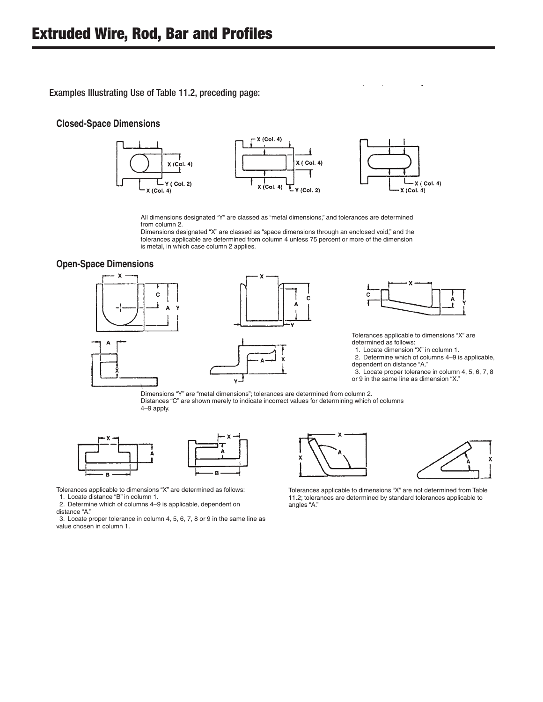**Examples Independently USE of Table 11.2**, pr Examples Illustrating Use of Table 11.2, preceding page:

#### **Closed-Space Dimensions**



All dimensions designated "Y" are classed as "metal dimensions," and tolerances are determined from column 2.

Dimensions designated "X" are classed as "space dimensions through an enclosed void," and the tolerances applicable are determined from column 4 unless 75 percent or more of the dimension is metal, in which case column 2 applies.

#### **Open-Space Dimensions**







Tolerances applicable to dimensions "X" are determined as follows:

1. Locate dimension "X" in column 1.

**,, p**

- 2. Determine which of columns 4–9 is applicable, dependent on distance "A."
- 3. Locate proper tolerance in column 4, 5, 6, 7, 8 or 9 in the same line as dimension "X."

Dimensions "Y" are "metal dimensions"; tolerances are determined from column 2. Distances "C" are shown merely to indicate incorrect values for determining which of columns 4–9 apply.



Tolerances applicable to dimensions "X" are determined as follows: 1. Locate distance "B" in column 1.

2. Determine which of columns 4–9 is applicable, dependent on

distance "A."

3. Locate proper tolerance in column 4, 5, 6, 7, 8 or 9 in the same line as value chosen in column 1.





Tolerances applicable to dimensions "X" are not determined from Table 11.2; tolerances are determined by standard tolerances applicable to angles "A."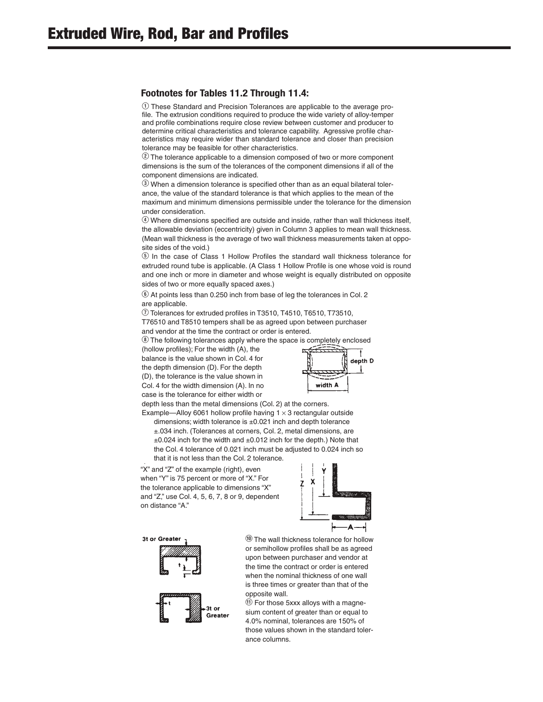*g* These Standard and Precision Tolerances are applicable to the average profile. The extrusion conditions required to produce the wide variety of alloy-temper and profile combinations require close review between customer and producer to determine critical characteristics and tolerance capability. Agressive profile characteristics may require wider than standard tolerance and closer than precision tolerance may be feasible for other characteristics.

W The tolerance applicable to a dimension composed of two or more component dimensions is the sum of the tolerances of the component dimensions if all of the component dimensions are indicated.

E When a dimension tolerance is specified other than as an equal bilateral tolerance, the value of the standard tolerance is that which applies to the mean of the maximum and minimum dimensions permissible under the tolerance for the dimension under consideration.

 $\overline{\Phi}$  Where dimensions specified are outside and inside, rather than wall thickness itself, the allowable deviation (eccentricity) given in Column 3 applies to mean wall thickness. (Mean wall thickness is the average of two wall thickness measurements taken at opposite sides of the void.)

**The case of Class 1 Hollow Profiles the standard wall thickness tolerance for** extruded round tube is applicable. (A Class 1 Hollow Profile is one whose void is round and one inch or more in diameter and whose weight is equally distributed on opposite sides of two or more equally spaced axes.)

 $\circled{6}$  At points less than 0.250 inch from base of leg the tolerances in Col. 2 are applicable.

 $\circled{1}$  Tolerances for extruded profiles in T3510, T4510, T6510, T73510,

T76510 and T8510 tempers shall be as agreed upon between purchaser and vendor at the time the contract or order is entered.

**1** The following tolerances apply where the space is completely enclosed

(hollow profiles); For the width (A), the balance is the value shown in Col. 4 for the depth dimension (D). For the depth (D), the tolerance is the value shown in Col. 4 for the width dimension (A). In no case is the tolerance for either width or



depth less than the metal dimensions (Col. 2) at the corners. Example—Alloy 6061 hollow profile having  $1 \times 3$  rectangular outside

dimensions; width tolerance is ±0.021 inch and depth tolerance ±.034 inch. (Tolerances at corners, Col. 2, metal dimensions, are  $\pm 0.024$  inch for the width and  $\pm 0.012$  inch for the depth.) Note that the Col. 4 tolerance of 0.021 inch must be adjusted to 0.024 inch so that it is not less than the Col. 2 tolerance.

p "X" and "Z" of the example (right), even when "Y" is 75 percent or more of "X." For the tolerance applicable to dimensions "X" and "Z," use Col. 4, 5, 6, 7, 8 or 9, dependent on distance "A."



3t or Greater





 $<sup>10</sup>$  The wall thickness tolerance for hollow</sup> or semihollow profiles shall be as agreed upon between purchaser and vendor at the time the contract or order is entered when the nominal thickness of one wall is three times or greater than that of the opposite wall.

 $\left( \mathrm{10} \right)$  For those 5xxx alloys with a magnesium content of greater than or equal to 4.0% nominal, tolerances are 150% of those values shown in the standard tolerance columns.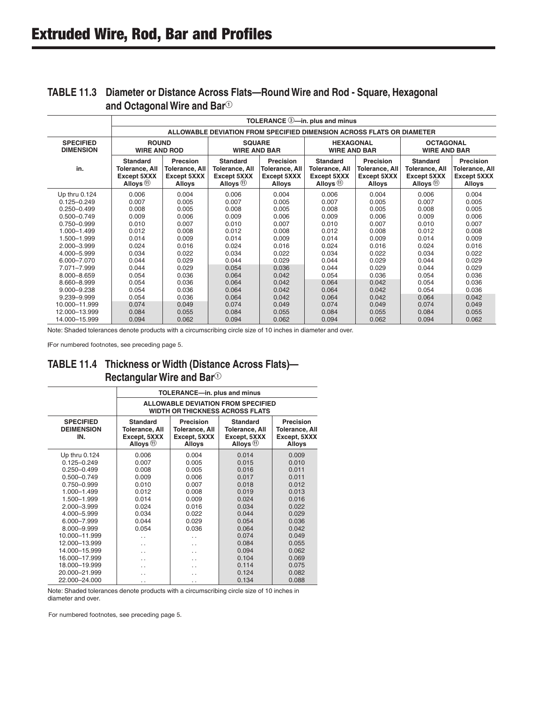|                                      | TOLERANCE 3-in. plus and minus                                        |                                                     |                                                                          |                                                      |                                                                  |                                                      |                                                                          |                                                             |  |  |
|--------------------------------------|-----------------------------------------------------------------------|-----------------------------------------------------|--------------------------------------------------------------------------|------------------------------------------------------|------------------------------------------------------------------|------------------------------------------------------|--------------------------------------------------------------------------|-------------------------------------------------------------|--|--|
|                                      | ALLOWABLE DEVIATION FROM SPECIFIED DIMENSION ACROSS FLATS OR DIAMETER |                                                     |                                                                          |                                                      |                                                                  |                                                      |                                                                          |                                                             |  |  |
| <b>SPECIFIED</b><br><b>DIMENSION</b> | <b>ROUND</b><br><b>WIRE AND ROD</b>                                   |                                                     | <b>SQUARE</b><br><b>WIRE AND BAR</b>                                     |                                                      | <b>HEXAGONAL</b><br><b>WIRE AND BAR</b>                          |                                                      | <b>OCTAGONAL</b><br><b>WIRE AND BAR</b>                                  |                                                             |  |  |
| in.                                  | <b>Standard</b><br>Tolerance, All<br>Except 5XXX<br>Alloys $(1)$      | Precsion<br>Tolerance, All<br>Except 5XXX<br>Alloys | <b>Standard</b><br>Tolerance, All<br>Except 5XXX<br>Alloys <sup>11</sup> | Precision<br>Tolerance, All<br>Except 5XXX<br>Alloys | <b>Standard</b><br>Tolerance, All<br>Except 5XXX<br>Alloys $(1)$ | Precision<br>Tolerance, All<br>Except 5XXX<br>Alloys | <b>Standard</b><br>Tolerance, All<br>Except 5XXX<br>Alloys <sup>11</sup> | Precision<br>Tolerance, All<br>Except 5XXX<br><b>Alloys</b> |  |  |
| Up thru 0.124                        | 0.006                                                                 | 0.004                                               | 0.006                                                                    | 0.004                                                | 0.006                                                            | 0.004                                                | 0.006                                                                    | 0.004                                                       |  |  |
| $0.125 - 0.249$                      | 0.007                                                                 | 0.005                                               | 0.007                                                                    | 0.005                                                | 0.007                                                            | 0.005                                                | 0.007                                                                    | 0.005                                                       |  |  |
| $0.250 - 0.499$                      | 0.008                                                                 | 0.005                                               | 0.008                                                                    | 0.005                                                | 0.008                                                            | 0.005                                                | 0.008                                                                    | 0.005                                                       |  |  |
| $0.500 - 0.749$                      | 0.009                                                                 | 0.006                                               | 0.009                                                                    | 0.006                                                | 0.009                                                            | 0.006                                                | 0.009                                                                    | 0.006                                                       |  |  |
| 0.750-0.999                          | 0.010                                                                 | 0.007                                               | 0.010                                                                    | 0.007                                                | 0.010                                                            | 0.007                                                | 0.010                                                                    | 0.007                                                       |  |  |
| 1.000-1.499                          | 0.012                                                                 | 0.008                                               | 0.012                                                                    | 0.008                                                | 0.012                                                            | 0.008                                                | 0.012                                                                    | 0.008                                                       |  |  |
| 1.500-1.999                          | 0.014                                                                 | 0.009                                               | 0.014                                                                    | 0.009                                                | 0.014                                                            | 0.009                                                | 0.014                                                                    | 0.009                                                       |  |  |
| 2.000-3.999                          | 0.024                                                                 | 0.016                                               | 0.024                                                                    | 0.016                                                | 0.024                                                            | 0.016                                                | 0.024                                                                    | 0.016                                                       |  |  |
| 4.000-5.999                          | 0.034                                                                 | 0.022                                               | 0.034                                                                    | 0.022                                                | 0.034                                                            | 0.022                                                | 0.034                                                                    | 0.022                                                       |  |  |
| 6.000-7.070                          | 0.044                                                                 | 0.029                                               | 0.044                                                                    | 0.029                                                | 0.044                                                            | 0.029                                                | 0.044                                                                    | 0.029                                                       |  |  |
| 7.071-7.999                          | 0.044                                                                 | 0.029                                               | 0.054                                                                    | 0.036                                                | 0.044                                                            | 0.029                                                | 0.044                                                                    | 0.029                                                       |  |  |
| 8.000-8.659                          | 0.054                                                                 | 0.036                                               | 0.064                                                                    | 0.042                                                | 0.054                                                            | 0.036                                                | 0.054                                                                    | 0.036                                                       |  |  |
| 8.660-8.999                          | 0.054                                                                 | 0.036                                               | 0.064                                                                    | 0.042                                                | 0.064                                                            | 0.042                                                | 0.054                                                                    | 0.036                                                       |  |  |
| $9.000 - 9.238$                      | 0.054                                                                 | 0.036                                               | 0.064                                                                    | 0.042                                                | 0.064                                                            | 0.042                                                | 0.054                                                                    | 0.036                                                       |  |  |
| 9.239-9.999                          | 0.054                                                                 | 0.036                                               | 0.064                                                                    | 0.042                                                | 0.064                                                            | 0.042                                                | 0.064                                                                    | 0.042                                                       |  |  |
| 10.000-11.999                        | 0.074                                                                 | 0.049                                               | 0.074                                                                    | 0.049                                                | 0.074                                                            | 0.049                                                | 0.074                                                                    | 0.049                                                       |  |  |
| 12.000-13.999                        | 0.084                                                                 | 0.055                                               | 0.084                                                                    | 0.055                                                | 0.084                                                            | 0.055                                                | 0.084                                                                    | 0.055                                                       |  |  |
| 14.000-15.999                        | 0.094                                                                 | 0.062                                               | 0.094                                                                    | 0.062                                                | 0.094                                                            | 0.062                                                | 0.094                                                                    | 0.062                                                       |  |  |

#### **TABLE 11.3 Diameter or Distance Across Flats—Round Wire and Rod - Square, Hexagonal**  and Octagonal Wire and Bar<sup>①</sup>

Note: Shaded tolerances denote products with a circumscribing circle size of 10 inches in diameter and over.

FFor numbered footnotes, see preceding page 5.

### **TABLE 11.4 Thickness or Width (Distance Across Flats)— Rectangular Wire and Bar**<sup>Q</sup>

|                                              | TOLERANCE-in. plus and minus                                                        |                                                                     |                                                                          |                                                                     |  |  |  |  |  |
|----------------------------------------------|-------------------------------------------------------------------------------------|---------------------------------------------------------------------|--------------------------------------------------------------------------|---------------------------------------------------------------------|--|--|--|--|--|
|                                              | <b>ALLOWABLE DEVIATION FROM SPECIFIED</b><br><b>WIDTH OR THICKNESS ACROSS FLATS</b> |                                                                     |                                                                          |                                                                     |  |  |  |  |  |
| <b>SPECIFIED</b><br><b>DEIMENSION</b><br>IN. | <b>Standard</b><br><b>Tolerance, All</b><br>Except, 5XXX<br>Alloys 1                | Precision<br><b>Tolerance, All</b><br>Except, 5XXX<br><b>Alloys</b> | <b>Standard</b><br><b>Tolerance, All</b><br>Except, 5XXX<br>Alloys $(1)$ | Precision<br><b>Tolerance, All</b><br>Except, 5XXX<br><b>Alloys</b> |  |  |  |  |  |
| Up thru 0.124                                | 0.006                                                                               | 0.004                                                               | 0.014                                                                    | 0.009                                                               |  |  |  |  |  |
| $0.125 - 0.249$                              | 0.007                                                                               | 0.005                                                               | 0.015                                                                    | 0.010                                                               |  |  |  |  |  |
| $0.250 - 0.499$                              | 0.008                                                                               | 0.005                                                               | 0.016                                                                    | 0.011                                                               |  |  |  |  |  |
| $0.500 - 0.749$                              | 0.009                                                                               | 0.006                                                               | 0.017                                                                    | 0.011                                                               |  |  |  |  |  |
| 0.750-0.999                                  | 0.010                                                                               | 0.007                                                               | 0.018                                                                    | 0.012                                                               |  |  |  |  |  |
| 1.000-1.499                                  | 0.012                                                                               | 0.008                                                               | 0.019                                                                    | 0.013                                                               |  |  |  |  |  |
| 1.500-1.999                                  | 0.014                                                                               | 0.009                                                               | 0.024                                                                    | 0.016                                                               |  |  |  |  |  |
| 2.000-3.999                                  | 0.024                                                                               | 0.016                                                               | 0.034                                                                    | 0.022                                                               |  |  |  |  |  |
| 4.000-5.999                                  | 0.034                                                                               | 0.022                                                               | 0.044                                                                    | 0.029                                                               |  |  |  |  |  |
| 6.000-7.999                                  | 0.044                                                                               | 0.029                                                               | 0.054                                                                    | 0.036                                                               |  |  |  |  |  |
| 8.000-9.999                                  | 0.054                                                                               | 0.036                                                               | 0.064                                                                    | 0.042                                                               |  |  |  |  |  |
| 10.000-11.999                                | . .                                                                                 | . .                                                                 | 0.074                                                                    | 0.049                                                               |  |  |  |  |  |
| 12.000-13.999                                | . .                                                                                 | . .                                                                 | 0.084                                                                    | 0.055                                                               |  |  |  |  |  |
| 14.000-15.999                                | . .                                                                                 | . .                                                                 | 0.094                                                                    | 0.062                                                               |  |  |  |  |  |
| 16.000-17.999                                | . .                                                                                 | . .                                                                 | 0.104                                                                    | 0.069                                                               |  |  |  |  |  |
| 18.000-19.999                                | . .                                                                                 |                                                                     | 0.114                                                                    | 0.075                                                               |  |  |  |  |  |
| 20.000-21.999                                | . .                                                                                 | . .                                                                 | 0.124                                                                    | 0.082                                                               |  |  |  |  |  |
| 22.000-24.000                                | . .                                                                                 | . .                                                                 | 0.134                                                                    | 0.088                                                               |  |  |  |  |  |

Note: Shaded tolerances denote products with a circumscribing circle size of 10 inches in diameter and over.

For numbered footnotes, see preceding page 5.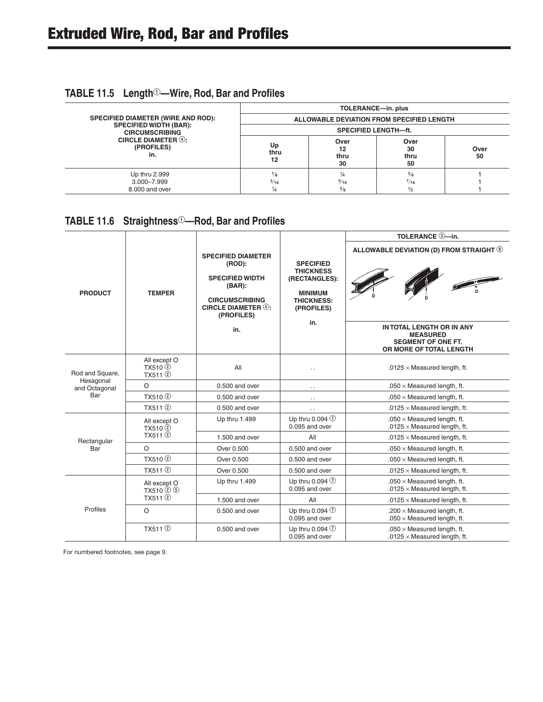## **TABLE 11.5 Length<sup>①</sup>—Wire, Rod, Bar and Profiles**

|                                                        | TOLERANCE-in. plus<br>ALLOWABLE DEVIATION FROM SPECIFIED LENGTH |                                        |                                                  |            |  |  |  |  |  |
|--------------------------------------------------------|-----------------------------------------------------------------|----------------------------------------|--------------------------------------------------|------------|--|--|--|--|--|
| <b>SPECIFIED DIAMETER (WIRE AND ROD):</b>              |                                                                 |                                        |                                                  |            |  |  |  |  |  |
| <b>SPECIFIED WIDTH (BAR):</b><br><b>CIRCUMSCRIBING</b> |                                                                 | <b>SPECIFIED LENGTH-ft.</b>            |                                                  |            |  |  |  |  |  |
| CIRCLE DIAMETER $@:$<br>(PROFILES)<br>in.              | Up<br>thru<br>12                                                | Over<br>12<br>thru<br>30               | Over<br>30<br>thru<br>50                         | Over<br>50 |  |  |  |  |  |
| Up thru 2.999<br>3.000-7.999<br>8,000 and over         | 1∕8<br>$\frac{3}{16}$<br>1⁄4                                    | 1⁄4<br>$\frac{5}{16}$<br>$\frac{3}{8}$ | $\frac{3}{8}$<br>$\frac{7}{16}$<br>$\frac{1}{2}$ |            |  |  |  |  |  |

## TABLE 11.6 Straightness<sup>10</sup>-Rod, Bar and Profiles

|                            |                                                  |                                                                                                                                                |                                                                                                                   | TOLERANCE 3-in.                                                                                      |  |  |  |  |
|----------------------------|--------------------------------------------------|------------------------------------------------------------------------------------------------------------------------------------------------|-------------------------------------------------------------------------------------------------------------------|------------------------------------------------------------------------------------------------------|--|--|--|--|
| <b>PRODUCT</b>             | <b>TEMPER</b>                                    | <b>SPECIFIED DIAMETER</b><br>(ROD):<br><b>SPECIFIED WIDTH</b><br>$(BAR)$ :<br><b>CIRCUMSCRIBING</b><br><b>CIRCLE DIAMETER 4:</b><br>(PROFILES) | <b>SPECIFIED</b><br><b>THICKNESS</b><br>(RECTANGLES):<br><b>MINIMUM</b><br><b>THICKNESS:</b><br>(PROFILES)<br>in. | ALLOWABLE DEVIATION (D) FROM STRAIGHT <sup>(9)</sup>                                                 |  |  |  |  |
|                            |                                                  | in.                                                                                                                                            |                                                                                                                   | IN TOTAL LENGTH OR IN ANY<br><b>MEASURED</b><br><b>SEGMENT OF ONE FT.</b><br>OR MORE OF TOTAL LENGTH |  |  |  |  |
| Rod and Square,            | All except O<br>TX510(2)<br>TX511 <sup>(2)</sup> | All                                                                                                                                            | $\ddot{\phantom{0}}$                                                                                              | .0125 $\times$ Measured length, ft.                                                                  |  |  |  |  |
| Hexagonal<br>and Octagonal | $\circ$                                          | $0.500$ and over                                                                                                                               |                                                                                                                   | .050 $\times$ Measured length, ft.                                                                   |  |  |  |  |
| Bar                        | TX510 <sup>(2)</sup>                             | 0.500 and over                                                                                                                                 | $\cdot$ .                                                                                                         | $.050 \times$ Measured length, ft.                                                                   |  |  |  |  |
|                            | TX511 <sup>(2)</sup>                             | $0.500$ and over                                                                                                                               | $\ddotsc$                                                                                                         | .0125 $\times$ Measured length, ft.                                                                  |  |  |  |  |
|                            | All except O<br>TX510 <sup>(2)</sup>             | Up thru 1.499                                                                                                                                  | Up thru 0.094 $\circled{1}$<br>$0.095$ and over                                                                   | $.050 \times$ Measured length, ft.<br>.0125 $\times$ Measured length, ft.                            |  |  |  |  |
| Rectangular                | TX511 <sup>(2)</sup>                             | 1.500 and over                                                                                                                                 | All                                                                                                               | .0125 $\times$ Measured length, ft.                                                                  |  |  |  |  |
| Bar                        | $\circ$                                          | Over 0.500                                                                                                                                     | $0.500$ and over                                                                                                  | $.050 \times$ Measured length, ft.                                                                   |  |  |  |  |
|                            | TX510 <sup>(2)</sup>                             | Over 0.500                                                                                                                                     | $0.500$ and over                                                                                                  | $.050 \times$ Measured length, ft.                                                                   |  |  |  |  |
|                            | TX511 <sup>(2)</sup>                             | Over 0.500                                                                                                                                     | 0.500 and over                                                                                                    | .0125 $\times$ Measured length, ft.                                                                  |  |  |  |  |
| Profiles                   | All except O<br>TX510 2 5                        | Up thru 1.499                                                                                                                                  | Up thru 0.094 $\circled{1}$<br>$0.095$ and over                                                                   | $.050 \times$ Measured length, ft.<br>.0125 $\times$ Measured length, ft.                            |  |  |  |  |
|                            | TX511 <sup>(2)</sup>                             | $1.500$ and over                                                                                                                               | All                                                                                                               | .0125 $\times$ Measured length, ft.                                                                  |  |  |  |  |
|                            | $\circ$                                          | $0.500$ and over                                                                                                                               | Up thru 0.094 7<br>$0.095$ and over                                                                               | .200 $\times$ Measured length, ft.<br>$.050 \times$ Measured length, ft.                             |  |  |  |  |
|                            | TX511(2)                                         | $0.500$ and over                                                                                                                               | Up thru 0.094 $\circled{1}$<br>0.095 and over                                                                     | $.050 \times$ Measured length, ft.<br>$.0125 \times$ Measured length, ft.                            |  |  |  |  |

For numbered footnotes, see page 9.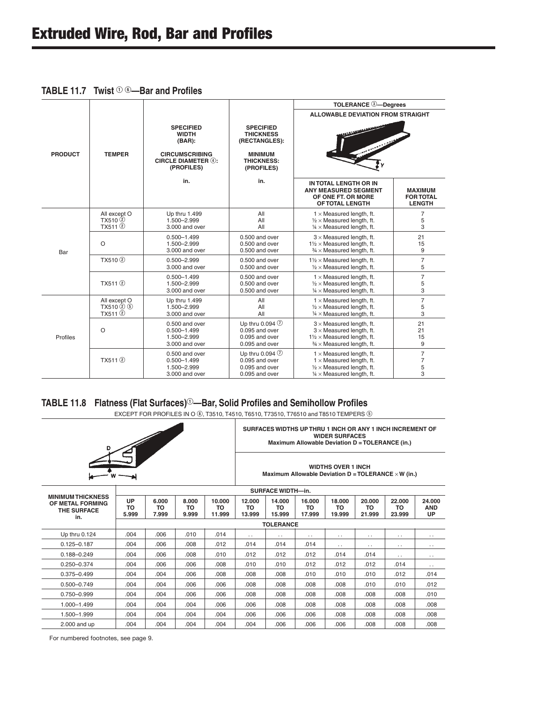|  | <b>TABLE 11.7</b> Twist $\mathbb{0}$ $\circ$ --Bar and Profiles |
|--|-----------------------------------------------------------------|
|--|-----------------------------------------------------------------|

|                |                                                              |                                                                                                              |                                                                                                            | <b>TOLERANCE 3-Degrees</b>                                                                                                                               |                                                     |
|----------------|--------------------------------------------------------------|--------------------------------------------------------------------------------------------------------------|------------------------------------------------------------------------------------------------------------|----------------------------------------------------------------------------------------------------------------------------------------------------------|-----------------------------------------------------|
| <b>PRODUCT</b> | <b>TEMPER</b>                                                | <b>SPECIFIED</b><br><b>WIDTH</b><br>(BAR):<br><b>CIRCUMSCRIBING</b><br>CIRCLE DIAMETER $(4)$ :<br>(PROFILES) | <b>SPECIFIED</b><br><b>THICKNESS</b><br>(RECTANGLES):<br><b>MINIMUM</b><br><b>THICKNESS:</b><br>(PROFILES) | <b>ALLOWABLE DEVIATION FROM STRAIGHT</b>                                                                                                                 |                                                     |
|                |                                                              | in.                                                                                                          | in.                                                                                                        | IN TOTAL LENGTH OR IN<br><b>ANY MEASURED SEGMENT</b><br>OF ONE FT. OR MORE<br><b>OF TOTAL LENGTH</b>                                                     | <b>MAXIMUM</b><br><b>FOR TOTAL</b><br><b>LENGTH</b> |
|                | All except O<br>TX510 <sup>(2)</sup><br>TX511 <sup>(2)</sup> | Up thru 1.499<br>1.500-2.999<br>3.000 and over                                                               | All<br>All<br>All                                                                                          | $1 \times$ Measured length, ft.<br>$1/2 \times$ Measured length, ft.<br>$\frac{1}{4}$ × Measured length, ft.                                             | 7<br>5<br>3                                         |
| Bar            | $\circ$                                                      | $0.500 - 1.499$<br>1.500-2.999<br>3.000 and over                                                             | 0.500 and over<br>0.500 and over<br>$0.500$ and over                                                       | $3 \times$ Measured length, ft.<br>$1\frac{1}{2}$ × Measured length, ft.<br>$\frac{3}{4}$ × Measured length, ft.                                         | 21<br>15<br>9                                       |
|                | TX510 <sup>2</sup>                                           | $0.500 - 2.999$<br>3.000 and over                                                                            | 0.500 and over<br>0.500 and over                                                                           | $1\frac{1}{2} \times$ Measured length, ft.<br>$1/2 \times$ Measured length, ft.                                                                          | $\overline{7}$<br>5                                 |
|                | TX511 <sup>(2)</sup>                                         | $0.500 - 1.499$<br>1.500-2.999<br>3.000 and over                                                             | 0.500 and over<br>0.500 and over<br>0.500 and over                                                         | $1 \times$ Measured length, ft.<br>$1/2 \times$ Measured length, ft.<br>$1/4 \times$ Measured length, ft.                                                | $\overline{7}$<br>5<br>3                            |
|                | All except O<br>$TX510(2)$ (5)<br>TX511(2)                   | Up thru 1.499<br>1.500-2.999<br>3.000 and over                                                               | All<br>All<br>All                                                                                          | $1 \times$ Measured length, ft.<br>$1/2 \times$ Measured length, ft.<br>$1/4 \times$ Measured length, ft.                                                | $\overline{7}$<br>5<br>3                            |
| Profiles       | $\circ$                                                      | 0.500 and over<br>$0.500 - 1.499$<br>1.500-2.999<br>3.000 and over                                           | Up thru 0.094 $\circled{1}$<br>$0.095$ and over<br>0.095 and over<br>0.095 and over                        | $3 \times$ Measured length, ft.<br>$3 \times$ Measured length, ft.<br>$1\frac{1}{2} \times$ Measured length, ft.<br>$\frac{3}{4}$ × Measured length, ft. | 21<br>21<br>15<br>9                                 |
|                | TX511 <sup>(2)</sup>                                         | 0.500 and over<br>$0.500 - 1.499$<br>1.500-2.999<br>3.000 and over                                           | Up thru 0.094 $\circled{1}$<br>$0.095$ and over<br>0.095 and over<br>0.095 and over                        | $1 \times$ Measured length, ft.<br>$1 \times$ Measured length, ft.<br>$1/2 \times$ Measured length, ft.<br>$\frac{1}{4}$ × Measured length, ft.          | $\overline{7}$<br>$\overline{7}$<br>5<br>3          |

#### TABLE 11.8 Flatness (Flat Surfaces)<sup>①</sup>—Bar, Solid Profiles and Semihollow Profiles

EXCEPT FOR PROFILES IN O ®, T3510, T4510, T6510, T73510, T76510 and T8510 TEMPERS <sup>®</sup>

| D                                                                  |                   |                      |                      |                           |                        |                                                            | Maximum Allowable Deviation D = TOLERANCE (in.) | <b>WIDER SURFACES</b>         |                               | SURFACES WIDTHS UP THRU 1 INCH OR ANY 1 INCH INCREMENT OF |                            |
|--------------------------------------------------------------------|-------------------|----------------------|----------------------|---------------------------|------------------------|------------------------------------------------------------|-------------------------------------------------|-------------------------------|-------------------------------|-----------------------------------------------------------|----------------------------|
|                                                                    |                   |                      |                      | <b>WIDTHS OVER 1 INCH</b> |                        | Maximum Allowable Deviation $D = TOLERANCE \times W$ (in.) |                                                 |                               |                               |                                                           |                            |
|                                                                    |                   |                      |                      |                           |                        | <b>SURFACE WIDTH-in.</b>                                   |                                                 |                               |                               |                                                           |                            |
| <b>MINIMUM THICKNESS</b><br>OF METAL FORMING<br>THE SURFACE<br>in. | UP<br>TO<br>5.999 | 6.000<br>TO<br>7.999 | 8.000<br>TO<br>9.999 | 10.000<br>TO<br>11.999    | 12.000<br>TO<br>13.999 | 14.000<br>TO<br>15.999                                     | 16.000<br><b>TO</b><br>17.999                   | 18.000<br><b>TO</b><br>19.999 | 20,000<br><b>TO</b><br>21.999 | 22.000<br><b>TO</b><br>23.999                             | 24.000<br><b>AND</b><br>UP |
|                                                                    |                   |                      |                      |                           | <b>TOLERANCE</b>       |                                                            |                                                 |                               |                               |                                                           |                            |
| Up thru 0.124                                                      | .004              | .006                 | .010                 | .014                      | $\ddotsc$              | $\ddotsc$                                                  | $\ddotsc$                                       | $\cdot$ .                     | $\cdot$ .                     | $\cdot$ .                                                 | $\ddotsc$                  |
| $0.125 - 0.187$                                                    | .004              | .006                 | .008                 | .012                      | .014                   | .014                                                       | .014                                            | $\ddotsc$                     | $\ddotsc$                     | $\ddotsc$                                                 | $\ddotsc$                  |
| $0.188 - 0.249$                                                    | .004              | .006                 | .008                 | .010                      | .012                   | .012                                                       | .012                                            | .014                          | .014                          | $\sim$ $\sim$                                             | $\cdot$ .                  |
| $0.250 - 0.374$                                                    | .004              | .006                 | .006                 | .008                      | .010                   | .010                                                       | .012                                            | .012                          | .012                          | .014                                                      | . .                        |
| $0.375 - 0.499$                                                    | .004              | .004                 | .006                 | .008                      | .008                   | .008                                                       | .010                                            | .010                          | .010                          | .012                                                      | .014                       |
| $0.500 - 0.749$                                                    | .004              | .004                 | .006                 | .006                      | .008                   | .008                                                       | .008                                            | .008                          | .010                          | .010                                                      | .012                       |
| $0.750 - 0.999$                                                    | .004              | .004                 | .006                 | .006                      | .008                   | .008                                                       | .008                                            | .008                          | .008                          | .008                                                      | .010                       |
| $1.000 - 1.499$                                                    | .004              | .004                 | .004                 | .006                      | .006                   | .008                                                       | .008                                            | .008                          | .008                          | .008                                                      | .008                       |
| 1.500-1.999                                                        | .004              | .004                 | .004                 | .004                      | .006                   | .006                                                       | .006                                            | .008                          | .008                          | .008                                                      | .008                       |
| $2.000$ and up                                                     | .004              | .004                 | .004                 | .004                      | .004                   | .006                                                       | .006                                            | .006                          | .008                          | .008                                                      | .008                       |

For numbered footnotes, see page 9.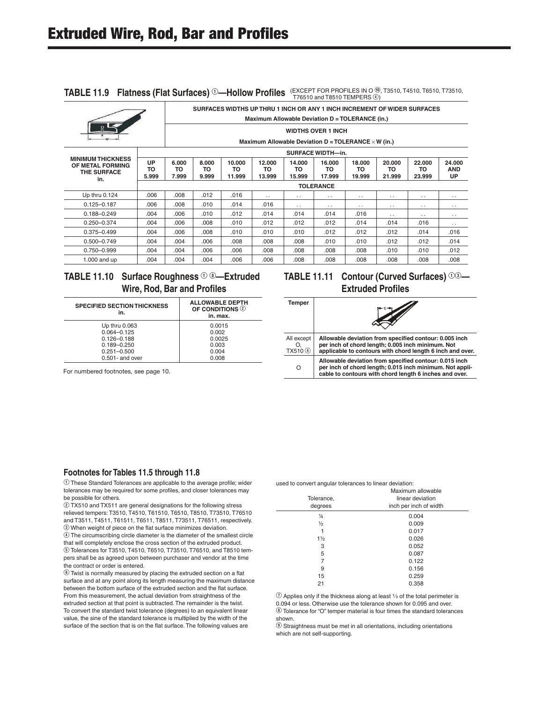|                                                                           | SURFACES WIDTHS UP THRU 1 INCH OR ANY 1 INCH INCREMENT OF WIDER SURFACES |                           |                      |                        |                                                            |                        |                        |                        |                        |                        |                            |  |  |  |
|---------------------------------------------------------------------------|--------------------------------------------------------------------------|---------------------------|----------------------|------------------------|------------------------------------------------------------|------------------------|------------------------|------------------------|------------------------|------------------------|----------------------------|--|--|--|
|                                                                           | Maximum Allowable Deviation D = TOLERANCE (in.)                          |                           |                      |                        |                                                            |                        |                        |                        |                        |                        |                            |  |  |  |
|                                                                           |                                                                          | <b>WIDTHS OVER 1 INCH</b> |                      |                        |                                                            |                        |                        |                        |                        |                        |                            |  |  |  |
|                                                                           |                                                                          |                           |                      |                        | Maximum Allowable Deviation $D = TOLERANCE \times W$ (in.) |                        |                        |                        |                        |                        |                            |  |  |  |
|                                                                           |                                                                          | <b>SURFACE WIDTH-in.</b>  |                      |                        |                                                            |                        |                        |                        |                        |                        |                            |  |  |  |
| <b>MINIMUM THICKNESS</b><br>OF METAL FORMING<br><b>THE SURFACE</b><br>in. | <b>UP</b><br>то<br>5.999                                                 | 6.000<br>ТΟ<br>7.999      | 8.000<br>TO<br>9.999 | 10.000<br>то<br>11.999 | 12.000<br>TO<br>13.999                                     | 14.000<br>то<br>15.999 | 16.000<br>TO<br>17.999 | 18.000<br>то<br>19.999 | 20,000<br>то<br>21.999 | 22,000<br>то<br>23.999 | 24.000<br><b>AND</b><br>UP |  |  |  |
|                                                                           |                                                                          | <b>TOLERANCE</b>          |                      |                        |                                                            |                        |                        |                        |                        |                        |                            |  |  |  |
| Up thru 0.124                                                             | .006                                                                     | 800.                      | .012                 | .016                   | $\ddotsc$                                                  | $\ddotsc$              | $\ddotsc$              | $\ddotsc$              | . .                    | . .                    | $\cdot$ .                  |  |  |  |
| $0.125 - 0.187$                                                           | .006                                                                     | .008                      | .010                 | .014                   | .016                                                       | $\ddotsc$              | $\ddotsc$              | $\cdot$ .              | $\ddotsc$              | $\ddotsc$              | $\cdot$ .                  |  |  |  |
| $0.188 - 0.249$                                                           | .004                                                                     | .006                      | .010                 | .012                   | .014                                                       | .014                   | .014                   | .016                   | $\ddotsc$              | $\ddotsc$              | . .                        |  |  |  |
| 0.250-0.374                                                               | .004                                                                     | .006                      | 800.                 | .010                   | .012                                                       | .012                   | .012                   | .014                   | .014                   | .016                   | $\ddotsc$                  |  |  |  |
| $0.375 - 0.499$                                                           | .004                                                                     | .006                      | .008                 | .010                   | .010                                                       | .010                   | .012                   | .012                   | .012                   | .014                   | .016                       |  |  |  |
| $0.500 - 0.749$                                                           | .004                                                                     | .004                      | .006                 | .008                   | .008                                                       | .008                   | .010                   | .010                   | .012                   | .012                   | .014                       |  |  |  |
| 0.750-0.999                                                               | .004                                                                     | .004                      | .006                 | .006                   | .008                                                       | .008                   | .008                   | .008                   | .010                   | .010                   | .012                       |  |  |  |
| $1.000$ and up                                                            | .004                                                                     | .004                      | .004                 | .006                   | .006                                                       | .008                   | .008                   | .008                   | .008                   | .008                   | .008                       |  |  |  |

#### **TABLE 11.9 Flatness (Flat Surfaces)** <sup>1</sup>-Hollow Profiles (EXCEPT FOR PROFILES IN 0 ®, T3510, T4510, T6510, T73510, TASD, T73510, TASD, T73510, TRIPERS ®)

#### **TABLE 11.10 Surface Roughness <sup>① ③</sup>—Extruded Wire, Rod, Bar and Profiles**

| <b>SPECIFIED SECTION THICKNESS</b><br>in. | <b>ALLOWABLE DEPTH</b><br>OF CONDITIONS <sup>2</sup><br>in. max. |
|-------------------------------------------|------------------------------------------------------------------|
| Up thru 0.063                             | 0.0015                                                           |
| $0.064 - 0.125$                           | 0.002                                                            |
| $0.126 - 0.188$                           | 0.0025                                                           |
| $0.189 - 0.250$                           | 0.003                                                            |
| $0.251 - 0.500$                           | 0.004                                                            |
| $0.501$ - and over                        | 0.008                                                            |

For numbered footnotes, see page 10.

#### **TABLE 11.11 Contour (Curved Surfaces)**  $\circledcirc$ <sup>2</sup> **Extruded Profiles**

| Temper                 |                                                                                                                                                                              |
|------------------------|------------------------------------------------------------------------------------------------------------------------------------------------------------------------------|
| All except<br>TX510(4) | Allowable deviation from specified contour: 0.005 inch<br>per inch of chord length; 0.005 inch minimum. Not<br>applicable to contours with chord length 6 inch and over.     |
| ∩                      | Allowable deviation from specified contour: 0.015 inch<br>per inch of chord length; 0.015 inch minimum. Not appli-<br>cable to contours with chord length 6 inches and over. |

**Footnotes for Tables 11.5 through 11.8** Q These Standard Tolerances are applicable to the average profile; wider tolerances may be required for some profiles, and closer tolerances may be possible for others.

W TX510 and TX511 are general designations for the following stress relieved tempers: T3510, T4510, T61510, T6510, T8510, T73510, T76510 and T3511, T4511, T61511, T6511, T8511, T73511, T76511, respectively. E When weight of piece on the flat surface minimizes deviation.

R The circumscribing circle diameter is the diameter of the smallest circle that will completely enclose the cross section of the extruded product. **E** Tolerances for T3510, T4510, T6510, T73510, T76510, and T8510 tempers shall be as agreed upon between purchaser and vendor at the time the contract or order is entered.

 $\circledR$  Twist is normally measured by placing the extruded section on a flat surface and at any point along its length measuring the maximum distance between the bottom surface of the extruded section and the flat surface. From this measurement, the actual deviation from straightness of the extruded section at that point is subtracted. The remainder is the twist. To convert the standard twist tolerance (degrees) to an equivalent linear value, the sine of the standard tolerance is multiplied by the width of the surface of the section that is on the flat surface. The following values are

#### used to convert angular tolerances to linear deviation:

|                | Maximum allowable      |
|----------------|------------------------|
| Tolerance,     | linear deviation       |
| degrees        | inch per inch of width |
| $\frac{1}{4}$  | 0.004                  |
| $\frac{1}{2}$  | 0.009                  |
| 1              | 0.017                  |
| $1\frac{1}{2}$ | 0.026                  |
| 3              | 0.052                  |
| 5              | 0.087                  |
| 7              | 0.122                  |
| 9              | 0.156                  |
| 15             | 0.259                  |
| 21             | 0.358                  |
|                |                        |

 $\Omega$  Applies only if the thickness along at least  $\frac{1}{2}$  of the total perimeter is 0.094 or less. Otherwise use the tolerance shown for 0.095 and over. I Tolerance for "O" temper material is four times the standard tolerances shown.

O Straightness must be met in all orientations, including orientations which are not self-supporting.